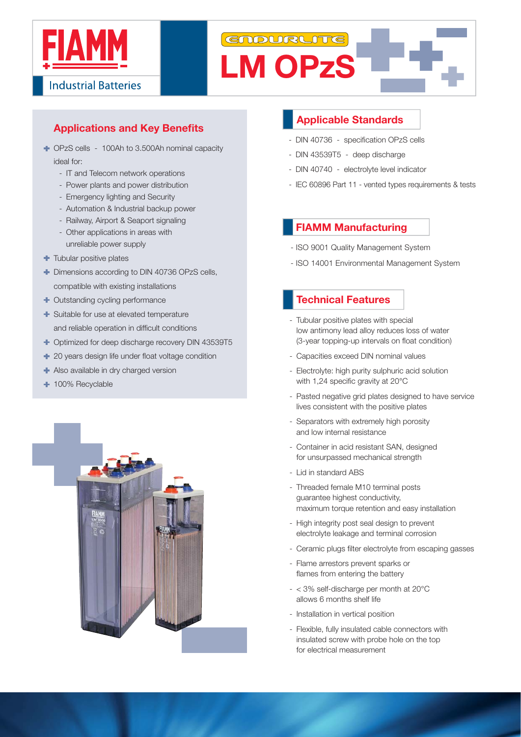

# GNDURLITE **LM OPzS**

# **Applications and Key Benefits**

- OPzS cells 100Ah to 3.500Ah nominal capacity ideal for:
	- IT and Telecom network operations
	- Power plants and power distribution
	- Emergency lighting and Security
	- Automation & Industrial backup power
	- Railway, Airport & Seaport signaling
	- Other applications in areas with unreliable power supply
- **T** Tubular positive plates
- $\blacksquare$  Dimensions according to DIN 40736 OPzS cells, compatible with existing installations
- + Outstanding cycling performance
- Suitable for use at elevated temperature and reliable operation in difficult conditions
- $\textcolor{red}{\bullet}$  Optimized for deep discharge recovery DIN 43539T5
- $\pm$  20 years design life under float voltage condition
- Also available in dry charged version
- + 100% Recyclable



## **Applicable Standards**

- DIN 40736 specification OPzS cells
- DIN 43539T5 deep discharge
- DIN 40740 electrolyte level indicator
- IEC 60896 Part 11 vented types requirements & tests

#### **FIAMM Manufacturing**

- ISO 9001 Quality Management System
- ISO 14001 Environmental Management System

## - **Technical Features**

- Tubular positive plates with special low antimony lead alloy reduces loss of water (3-year topping-up intervals on float condition)
- Capacities exceed DIN nominal values
- Electrolyte: high purity sulphuric acid solution with 1.24 specific gravity at  $20^{\circ}$ C
- Pasted negative grid plates designed to have service lives consistent with the positive plates
- Separators with extremely high porosity and low internal resistance
- Container in acid resistant SAN, designed for unsurpassed mechanical strength
- Lid in standard ABS
- Threaded female M10 terminal posts guarantee highest conductivity, maximum torque retention and easy installation
- High integrity post seal design to prevent electrolyte leakage and terminal corrosion
- Ceramic plugs filter electrolyte from escaping gasses
- Flame arrestors prevent sparks or flames from entering the battery
- $< 3\%$  self-discharge per month at 20 $^{\circ}$ C allows 6 months shelf life
- Installation in vertical position
- Flexible, fully insulated cable connectors with insulated screw with probe hole on the top for electrical measurement